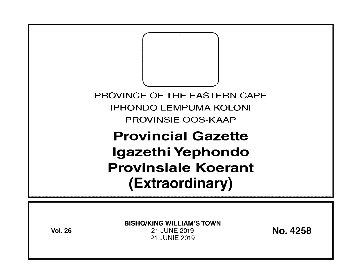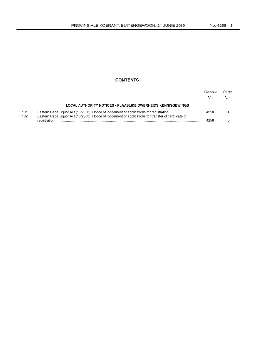# **CONTENTS**

|            |                                                                                                       | Gazette<br>No. | Page<br>$N_{\Omega}$ |
|------------|-------------------------------------------------------------------------------------------------------|----------------|----------------------|
|            | <b>LOCAL AUTHORITY NOTICES • PLAASLIKE OWERHEIDS KENNISGEWINGS</b>                                    |                |                      |
| 131<br>132 | Eastern Cape Liquor Act (10/2003): Notice of lodgement of applications for transfer of certificate of | 4258           |                      |
|            |                                                                                                       | 4258           |                      |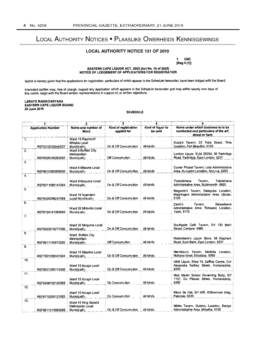# LOCAL AUTHORITY NOTICES • PLAASLIKE OWERHEIDS KENNISGEWINGS

## LOCAL AUTHORITY NOTICE 131 OF 2019

1. CM3

[Reg 4 (1)]

EASTERN CAPE LIQUOR ACT, 2003 (Act No. 10 of 2003) NOTICE OF LODGEMENT OF APPLICATIONS FOR REGISTRATION

Notice is hereby given that the applications for registration, particulars of which appear in the Schedule hereunder, have been lodged with the Board.

Interested parties may, free of charge, inspect any application which appears in the Schedule hereunder and may within twenty one days of this notice, lodge with the Board written representations in support of, or written objections.

#### LERATO RADIKOANYANA EASTERN CAPE LIQUOR BOARD 20 June 2019

### SCHEDULE

| <b>Application Number</b> |                   |                                                            |                                     |                              | 5<br>Name under which business is to be<br>conducted and particulars of the erf.<br>street or farm |  |
|---------------------------|-------------------|------------------------------------------------------------|-------------------------------------|------------------------------|----------------------------------------------------------------------------------------------------|--|
|                           |                   | Name and number of<br>Ward                                 | Kind of registration<br>applied for | Kind of liquor to<br>be sold |                                                                                                    |  |
| 1.                        | REF2018/326443/07 | Ward 19 Raymond<br>Mhlaba Local<br><b>Municipality</b>     | On & Off Consumption                | All kinds                    | Kusta's Tavern. 22 Tebe Street. Tinis<br>Location, Fort Beaufort, 5720                             |  |
| 2.                        | REF8509155263082  | Ward 8 Buffalo City<br>Metropolitan<br><b>Municipality</b> | Off Consumption                     | All kinds                    | London Liquor, ELM 26254, 50 Parkridge<br>Road. Parkridge, East London. 5201                       |  |
| 3.                        | REF8610060909080  | Ward 6 Mbashe Local<br>Municipality                        | On & Off Consumption                | All kinds                    | Corner Pocket Tavern, Lota Administrative<br>Area, Nyandeni Location, Idutywa, 5000                |  |
| 4.                        | REF6011085141084  | Ward 9 Mnguma Local<br><b>Municipality</b>                 | On & Off Consumption                | All kinds                    | Thobotshana<br>Tavern.<br>Tobotshana<br>Administrative Area, Butterworth, 4960                     |  |
| 5.                        | REF8409296247088  | Ward 16 Nyandeni<br>Local Municipality                     | On & Off Consumption                | All kinds                    | Magwele's Tavern, Dalaguba Location,<br>Maghingeni Administrative Area, Libode,<br>5120            |  |
| 6.<br>$\overline{7}$ .    | REF8104141069080  | Ward 26 Mhiontio Local<br>Municipality                     | On & Off Consumption                | All kinds                    | Zandi's<br>Tavern.<br>Sidwadweni<br>Administrative Area. Tshisane Location.<br><b>Tsolo, 5170</b>  |  |
|                           | REF9503016271086  | Ward 30 Mnguma Local<br><b>Municipality</b>                | On & Off Consumption                | All kinds                    | Southgate Café Tavern, Erf 130 Main<br>Street, Centane. 4980                                       |  |
| 8.                        | REF6611140812080  | Ward Buffalo City<br>Metropolitan<br><b>Municipality</b>   | Off Consumption                     | All kinds                    | Mabelebele's Liquor Store, 58 Elephant<br>Road, East Bank, East London, 5201                       |  |
| 9.                        | REF7801056041084  | Ward 15 Mbashe Local<br><b>Municipality</b>                | On & Off Consumption                | All kinds                    | Ntembiso's Tavern, Melitofa Location,<br>Ncihana West, Elliotdale, 5080                            |  |
| 10.                       | REF9201260174086  | Ward 15 Kouga Local<br>Municipality                        | On & Off Consumption                | All kinds                    | UME Liquor, Shop 10, Saffrey Centre, Cnr.<br>Alexandra Saffrey Street, Humansdorp,<br>6300         |  |
| 11.                       | REF6508105120089  | Ward 15 Kouga Local<br><b>Municipality</b>                 | On Consumption                      | All kinds                    | Nico Malan School Governing Body, Erf<br>1137, Du Plessis Street, Humansdorp,<br>6300              |  |
| 12.                       | REF6710265121085  | Ward 10 Kouga Local<br><b>Municipality</b>                 | On Consumption                      | All kinds                    | Rikus Se Gat, Erf 409, Willowmore Weg,<br>Patensie, 6335                                           |  |
| 13.                       | REF8611210965089  | Ward 15 King Sabata<br>Dalindyebo Local<br>Municipality    | On & Off Consumption                | All kinds                    | Nikies Tavem, Gubevu Location, Baziya<br>Administrative Area, Mthatha. 5100                        |  |